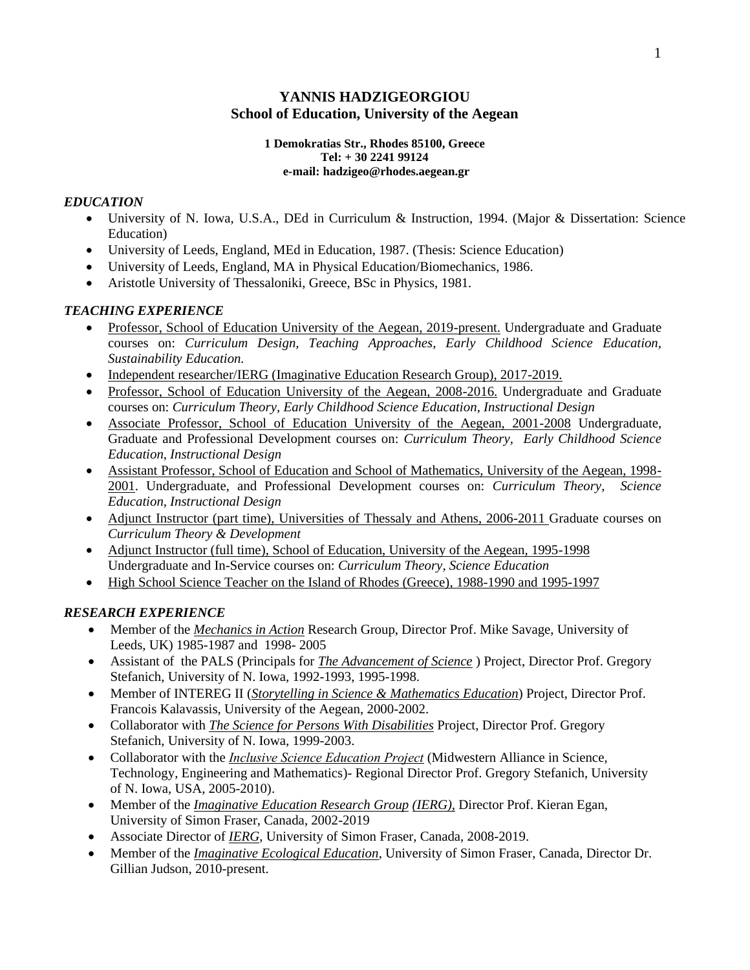# **YANNIS HADZIGEORGIOU School of Education, University of the Aegean**

### **1 Demokratias Str., Rhodes 85100, Greece Tel: + 30 2241 99124 e-mail: hadzigeo@rhodes.aegean.gr**

# *EDUCATION*

- University of N. Iowa, U.S.A., DEd in Curriculum & Instruction, 1994. (Major & Dissertation: Science Education)
- University of Leeds, England, MEd in Education, 1987. (Thesis: Science Education)
- University of Leeds, England, MΑ in Physical Education/Biomechanics, 1986.
- Aristotle University of Thessaloniki, Greece, BSc in Physics, 1981.

# *TEACHING EXPERIENCE*

- Professor, School of Education University of the Aegean, 2019-present. Undergraduate and Graduate courses on: *Curriculum Design, Teaching Approaches, Early Childhood Science Education, Sustainability Education.*
- Independent researcher/IERG (Imaginative Education Research Group), 2017-2019.
- Professor, School of Education University of the Aegean, 2008-2016. Undergraduate and Graduate courses on: *Curriculum Theory, Early Childhood Science Education*, *Instructional Design*
- Associate Professor, School of Education University of the Aegean, 2001-2008 Undergraduate, Graduate and Professional Development courses on: *Curriculum Theory, Early Childhood Science Education*, *Instructional Design*
- Assistant Professor, School of Education and School of Mathematics, University of the Aegean, 1998- 2001. Undergraduate, and Professional Development courses on: *Curriculum Theory, Science Education*, *Instructional Design*
- Adjunct Instructor (part time), Universities of Thessaly and Athens, 2006-2011 Graduate courses on *Curriculum Theory & Development*
- Adjunct Instructor (full time), School of Education, University of the Aegean, 1995-1998 Undergraduate and In-Service courses on: *Curriculum Theory, Science Education*
- High School Science Teacher on the Island of Rhodes (Greece), 1988-1990 and 1995-1997

# *RESEARCH EXPERIENCE*

- Member of the *Mechanics in Action* Research Group, Director Prof. Mike Savage, University of Leeds, UK) 1985-1987 and 1998- 2005
- Assistant of the PALS (Principals for *The Advancement of Science* ) Project, Director Prof. Gregory Stefanich, University of N. Iowa, 1992-1993, 1995-1998.
- Member of INTEREG II (*Storytelling in Science & Mathematics Education*) Project, Director Prof. Francois Kalavassis, University of the Aegean, 2000-2002.
- Collaborator with *The Science for Persons With Disabilities* Project, Director Prof. Gregory Stefanich, University of N. Iowa, 1999-2003.
- Collaborator with the *Ιnclusive Science Education Project* (Midwestern Alliance in Science, Technology, Engineering and Mathematics)- Regional Director Prof. Gregory Stefanich, University of N. Iowa, USA, 2005-2010).
- Member of the *Imaginative Education Research Group (IERG),* Director Prof. Kieran Egan, University of Simon Fraser, Canada, 2002-2019
- Associate Director of *IERG*, University of Simon Fraser, Canada, 2008-2019.
- Member of the *Imaginative Ecological Education*, University of Simon Fraser, Canada, Director Dr. Gillian Judson, 2010-present.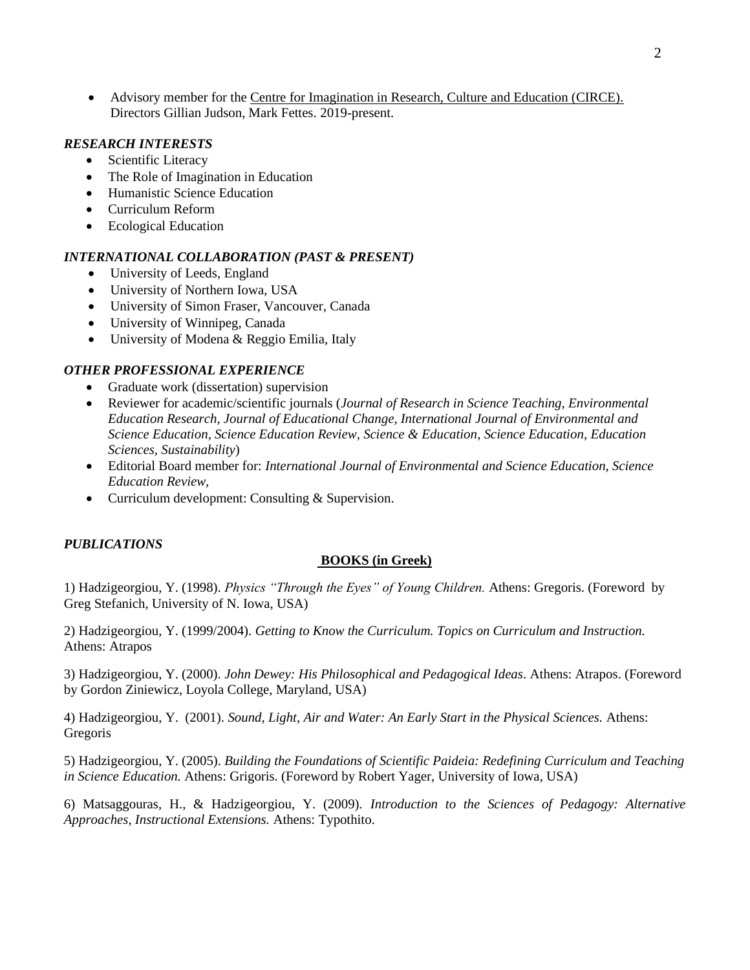• Advisory member for the Centre for Imagination in Research, Culture and Education (CIRCE). Directors Gillian Judson, Mark Fettes. 2019-present.

## *RESEARCH INTERESTS*

- Scientific Literacy
- The Role of Imagination in Education
- Humanistic Science Education
- Curriculum Reform
- Ecological Education

### *INTERNATIONAL COLLABORATION (PAST & PRESENT)*

- University of Leeds, England
- University of Northern Iowa, USA
- University of Simon Fraser, Vancouver, Canada
- University of Winnipeg, Canada
- University of Modena & Reggio Emilia, Italy

## *OTHER PROFESSIONAL EXPERIENCE*

- Graduate work (dissertation) supervision
- Reviewer for academic/scientific journals (*Journal of Research in Science Teaching, Environmental Education Research, Journal of Educational Change, International Journal of Environmental and Science Education, Science Education Review, Science & Education, Science Education, Education Sciences, Sustainability*)
- Editorial Board member for: *International Journal of Environmental and Science Education, Science Education Review,*
- Curriculum development: Consulting & Supervision.

### *PUBLICATIONS*

#### **BOOKS (in Greek)**

1) Hadzigeorgiou, Y. (1998). *Physics "Through the Eyes" of Young Children.* Athens: Gregoris. (Foreword by Greg Stefanich, University of N. Iowa, USA)

2) Hadzigeorgiou, Y. (1999/2004). *Getting to Know the Curriculum. Topics on Curriculum and Instruction.*  Athens: Atrapos

3) Hadzigeorgiou, Y. (2000). *John Dewey: His Philosophical and Pedagogical Ideas*. Athens: Atrapos. (Foreword by Gordon Ziniewicz, Loyola College, Maryland, USA)

4) Hadzigeorgiou, Y. (2001). *Sound, Light, Air and Water: An Early Start in the Physical Sciences.* Athens: Gregoris

5) Hadzigeorgiou, Y. (2005). *Building the Foundations of Scientific Paideia: Redefining Curriculum and Teaching in Science Education.* Athens: Grigoris. (Foreword by Robert Yager, University of Iowa, USA)

6) Matsaggouras, H., & Hadzigeorgiou, Y. (2009). *Introduction to the Sciences of Pedagogy: Alternative Approaches, Instructional Extensions.* Athens: Typothito.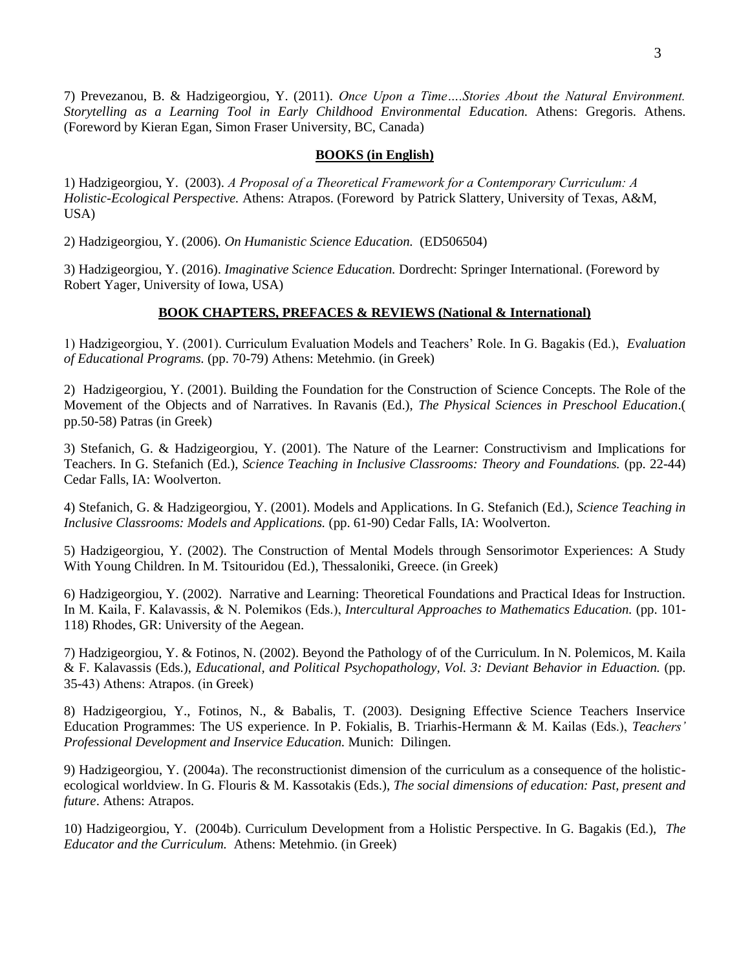7) Prevezanou, B. & Hadzigeorgiou, Y. (2011). *Once Upon a Time….Stories About the Natural Environment. Storytelling as a Learning Tool in Early Childhood Environmental Education.* Athens: Gregoris. Athens. (Foreword by Kieran Egan, Simon Fraser University, BC, Canada)

### **BOOKS (in English)**

1) Hadzigeorgiou, Y. (2003). *Α Proposal of a Theoretical Framework for a Contemporary Curriculum: A Holistic-Ecological Perspective.* Athens: Atrapos. (Foreword by Patrick Slattery, University of Texas, A&M, USA)

2) Hadzigeorgiou, Y. (2006). *On Humanistic Science Education.* (ED506504)

3) Hadzigeorgiou, Y. (2016). *Imaginative Science Education.* Dordrecht: Springer International. (Foreword by Robert Yager, University of Iowa, USA)

## **BOOK CHAPTERS, PREFACES & REVIEWS (National & International)**

1) Hadzigeorgiou, Y. (2001). Curriculum Evaluation Models and Teachers' Role. In G. Bagakis (Ed.), *Evaluation of Educational Programs.* (pp. 70-79) Αthens: Metehmio. (in Greek)

2) Hadzigeorgiou, Y. (2001). Building the Foundation for the Construction of Science Concepts. The Role of the Movement of the Objects and of Narratives. In Ravanis (Ed.), *The Physical Sciences in Preschool Education*.( pp.50-58) Patras (in Greek)

3) Stefanich, G. & Hadzigeorgiou, Y. (2001). The Nature of the Learner: Constructivism and Implications for Teachers. In G. Stefanich (Ed.), *Science Teaching in Inclusive Classrooms: Theory and Foundations.* (pp. 22-44) Cedar Falls, IA: Woolverton.

4) Stefanich, G. & Hadzigeorgiou, Y. (2001). Models and Applications. In G. Stefanich (Ed.), *Science Teaching in Inclusive Classrooms: Models and Applications.* (pp. 61-90) Cedar Falls, IA: Woolverton.

5) Hadzigeorgiou, Y. (2002). The Construction of Mental Models through Sensorimotor Experiences: A Study With Young Children. In M. Tsitouridou (Ed.), Thessaloniki, Greece. (in Greek)

6) Hadzigeorgiou, Y. (2002). Narrative and Learning: Theoretical Foundations and Practical Ideas for Instruction. In Μ. Kaila, F. Kalavassis, & N. Polemikos (Eds.), *Intercultural Approaches to Mathematics Education.* (pp. 101- 118) Rhodes, GR: University of the Aegean.

7) Hadzigeorgiou, Y. & Fotinos, N. (2002). Beyond the Pathology of of the Curriculum. In N. Polemicos, M. Kaila & F. Kalavassis (Eds.), *Educational, and Political Psychopathology, Vol. 3: Deviant Behavior in Eduaction.* (pp. 35-43) Αthens: Atrapos. (in Greek)

8) Hadzigeorgiou, Y., Fotinos, N., & Babalis, T. (2003). Designing Effective Science Teachers Inservice Education Programmes: The US experience. In P. Fokialis, B. Triarhis-Hermann & Μ. Κailas (Εds.), *Teachers' Professional Development and Inservice Education.* Munich: Dilingen.

9) Hadzigeorgiou, Y. (2004a). The reconstructionist dimension of the curriculum as a consequence of the holisticecological worldview. In G. Flouris & M. Kassotakis (Eds.), *The social dimensions of education: Past, present and future*. Athens: Atrapos.

10) Hadzigeorgiou, Y. (2004b). Curriculum Development from a Holistic Perspective. In G. Bagakis (Ed.), *The Educator and the Curriculum.* Athens: Metehmio. (in Greek)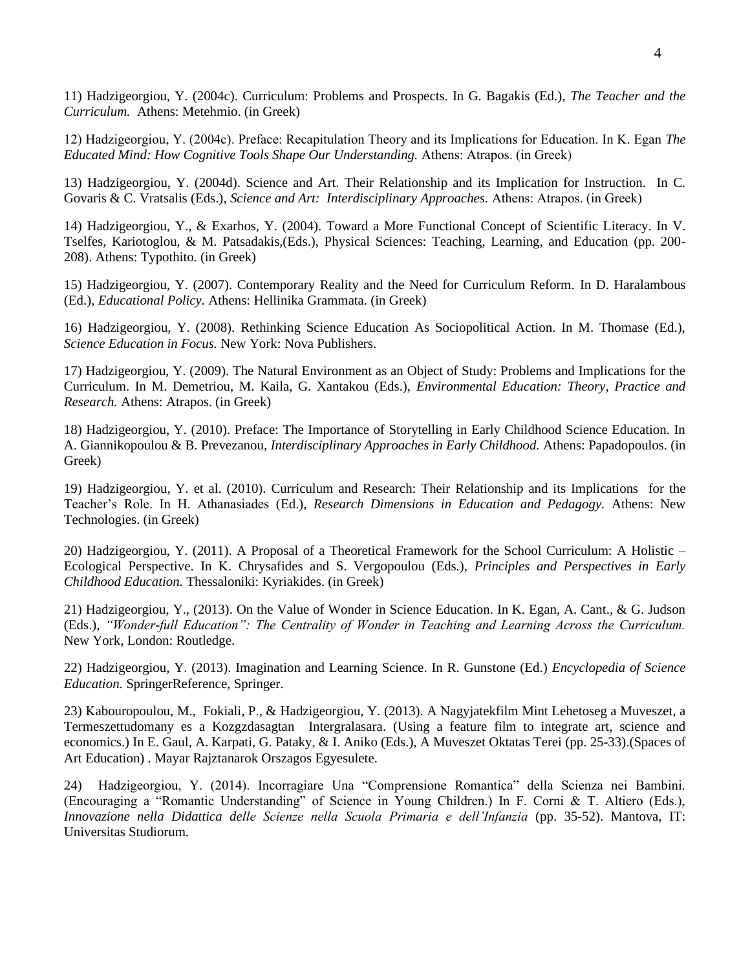11) Hadzigeorgiou, Y. (2004c). Curriculum: Problems and Prospects. In G. Bagakis (Ed.), *The Teacher and the Curriculum.* Athens: Metehmio. (in Greek)

12) Hadzigeorgiou, Y. (2004c). Preface: Recapitulation Theory and its Implications for Education. In Κ. Εgan *The Educated Mind: How Cognitive Tools Shape Our Understanding.* Αthens: Atrapos. (in Greek)

13) Hadzigeorgiou, Y. (2004d). Science and Art. Their Relationship and its Implication for Instruction. In C. Govaris & C. Vratsalis (Eds.), *Science and Art: Interdisciplinary Approaches.* Αthens: Atrapos. (in Greek)

14) Hadzigeorgiou, Y., & Exarhos, Y. (2004). Toward a More Functional Concept of Scientific Literacy. In V. Tselfes, Kariotoglou, & M. Patsadakis,(Eds.), Physical Sciences: Teaching, Learning, and Education (pp. 200- 208). Athens: Typothito. (in Greek)

15) Hadzigeorgiou, Y. (2007). Contemporary Reality and the Need for Curriculum Reform. In D. Haralambous (Ed.), *Educational Policy.* Athens: Hellinika Grammata. (in Greek)

16) Hadzigeorgiou, Y. (2008). Rethinking Science Education As Sociopolitical Action. In M. Thomase (Ed.), *Science Education in Focus.* New York: Nova Publishers.

17) Hadzigeorgiou, Y. (2009). The Natural Environment as an Object of Study: Problems and Implications for the Curriculum. In M. Demetriou, M. Kaila, G. Xantakou (Eds.), *Environmental Education: Theory, Practice and Research.* Athens: Atrapos. (in Greek)

18) Hadzigeorgiou, Y. (2010). Preface: The Importance of Storytelling in Early Childhood Science Education. In A. Giannikopoulou & B. Prevezanou, *Interdisciplinary Approaches in Early Childhood.* Athens: Papadopoulos. (in Greek)

19) Hadzigeorgiou, Y. et al. (2010). Curriculum and Research: Their Relationship and its Implications for the Teacher's Role. In H. Athanasiades (Εd.), *Research Dimensions in Education and Pedagogy.* Athens: New Technologies. (in Greek)

20) Hadzigeorgiou, Y. (2011). A Proposal of a Theoretical Framework for the School Curriculum: A Holistic – Ecological Perspective. In Κ. Chrysafides and S. Vergopoulou (Eds.), *Principles and Perspectives in Early Childhood Education.* Thessaloniki: Kyriakides. (in Greek)

21) Hadzigeorgiou, Y., (2013). On the Value of Wonder in Science Education. In K. Egan, A. Cant., & G. Judson (Eds.), *"Wonder-full Education": The Centrality of Wonder in Teaching and Learning Across the Curriculum.* New York, London: Routledge.

22) Hadzigeorgiou, Y. (2013). Imagination and Learning Science. In R. Gunstone (Ed.) *Encyclopedia of Science Education.* SpringerReference, Springer.

23) Κabouropoulou, M., Fokiali, P., & Ηadzigeorgiou, Y. (2013). A Νagyjatekfilm Mint Lehetoseg a Muveszet, a Termeszettudomany es a Kozgzdasagtan Intergralasara. (Using a feature film to integrate art, science and economics.) In E. Gaul, A. Karpati, G. Pataky, & I. Aniko (Eds.), A Muveszet Oktatas Terei (pp. 25-33).(Spaces of Art Education) . Mayar Rajztanarok Orszagos Egyesulete.

24) Hadzigeorgiou, Y. (2014). Incorragiare Una "Comprensione Romantica" della Scienza nei Bambini. (Encouraging a "Romantic Understanding" of Science in Young Children.) In F. Corni & T. Altiero (Eds.), *Innovazione nella Didattica delle Scienze nella Scuola Primaria e dell'Infanzia* (pp. 35-52). Mantova, IT: Universitas Studiorum.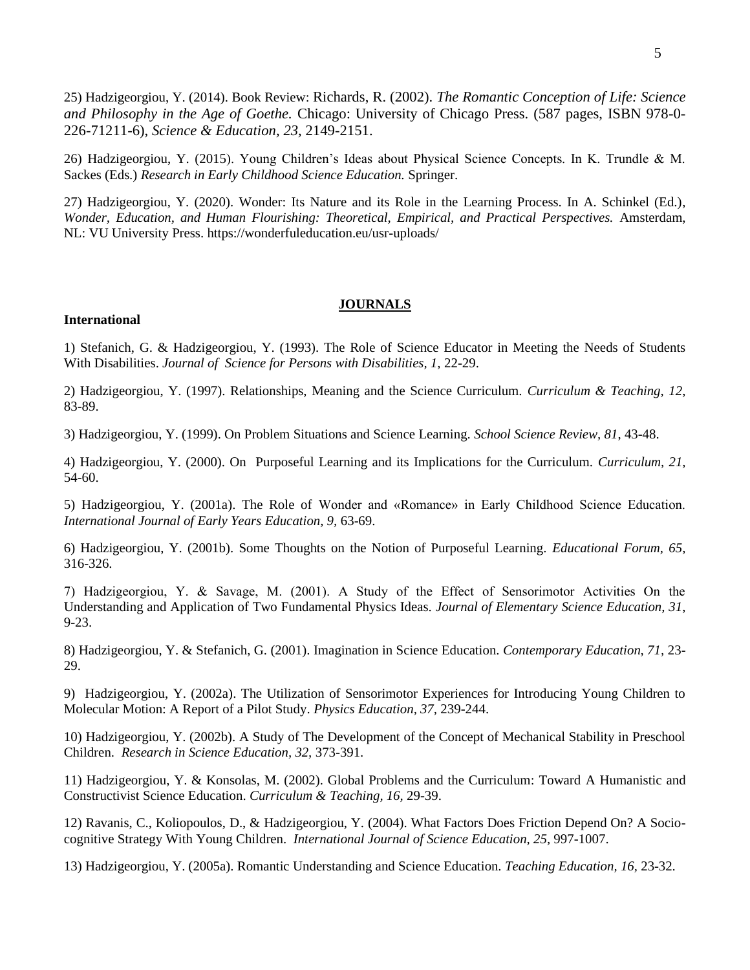25) Hadzigeorgiou, Y. (2014). Book Review: Richards, R. (2002). *[The Romantic Conception of Life: Science](http://www.amazon.com/exec/obidos/ASIN/0226712117)  [and Philosophy in the Age of Goethe.](http://www.amazon.com/exec/obidos/ASIN/0226712117)* Chicago: University of Chicago Press. (587 pages, ISBN 978-0- 226-71211-6), *Science & Education, 23,* 2149-2151.

26) Hadzigeorgiou, Y. (2015). Young Children's Ideas about Physical Science Concepts. In K. Trundle & M. Sackes (Eds.) *Research in Early Childhood Science Education.* Springer.

27) Hadzigeorgiou, Y. (2020). Wonder: Its Nature and its Role in the Learning Process. In A. Schinkel (Ed.), *Wonder, Education, and Human Flourishing: Theoretical, Empirical, and Practical Perspectives.* Amsterdam, NL: VU University Press. https://wonderfuleducation.eu/usr-uploads/

### **JOURNALS**

#### **International**

1) Stefanich, G. & Hadzigeorgiou, Y. (1993). The Role of Science Educator in Meeting the Needs of Students With Disabilities. *Journal of Science for Persons with Disabilities, 1,* 22-29.

2) Hadzigeorgiou, Y. (1997). Relationships, Meaning and the Science Curriculum. *Curriculum & Teaching, 12*, 83-89.

3) Hadzigeorgiou, Y. (1999). On Problem Situations and Science Learning. *School Science Review, 81*, 43-48.

4) Hadzigeorgiou, Y. (2000). On Purposeful Learning and its Implications for the Curriculum. *Curriculum, 21,*  54-60.

5) Hadzigeorgiou, Y. (2001a). The Role of Wonder and «Romance» in Early Childhood Science Education. *International Journal of Early Years Education, 9,* 63-69.

6) Hadzigeorgiou, Y. (2001b). Some Thoughts on the Notion of Purposeful Learning. *Educational Forum, 65,*  316-326.

7) Hadzigeorgiou, Y. & Savage, M. (2001). Α Study of the Effect of Sensorimotor Activities Οn the Understanding and Application of Two Fundamental Physics Ideas. *Journal of Elementary Science Education, 31*, 9-23.

8) Hadzigeorgiou, Y. & Stefanich, G. (2001). Imagination in Science Education. *Contemporary Education, 71,* 23- 29.

9) Hadzigeorgiou, Y. (2002a). The Utilization of Sensorimotor Experiences for Introducing Young Children to Molecular Motion: A Report of a Pilot Study. *Physics Education, 37,* 239-244.

10) Hadzigeorgiou, Y. (2002b). A Study of The Development of the Concept of Mechanical Stability in Preschool Children. *Research in Science Education, 32,* 373-391.

11) Hadzigeorgiou, Y. & Konsolas, M. (2002). Global Problems and the Curriculum: Toward A Humanistic and Constructivist Science Education. *Curriculum & Teaching, 16,* 29-39.

12) Ravanis, C., Koliopoulos, D., & Hadzigeorgiou, Y. (2004). What Factors Does Friction Depend On? A Sociocognitive Strategy With Young Children. *International Journal of Science Education, 25,* 997-1007.

13) Hadzigeorgiou, Y. (2005a). Romantic Understanding and Science Education. *Teaching Education, 16,* 23-32.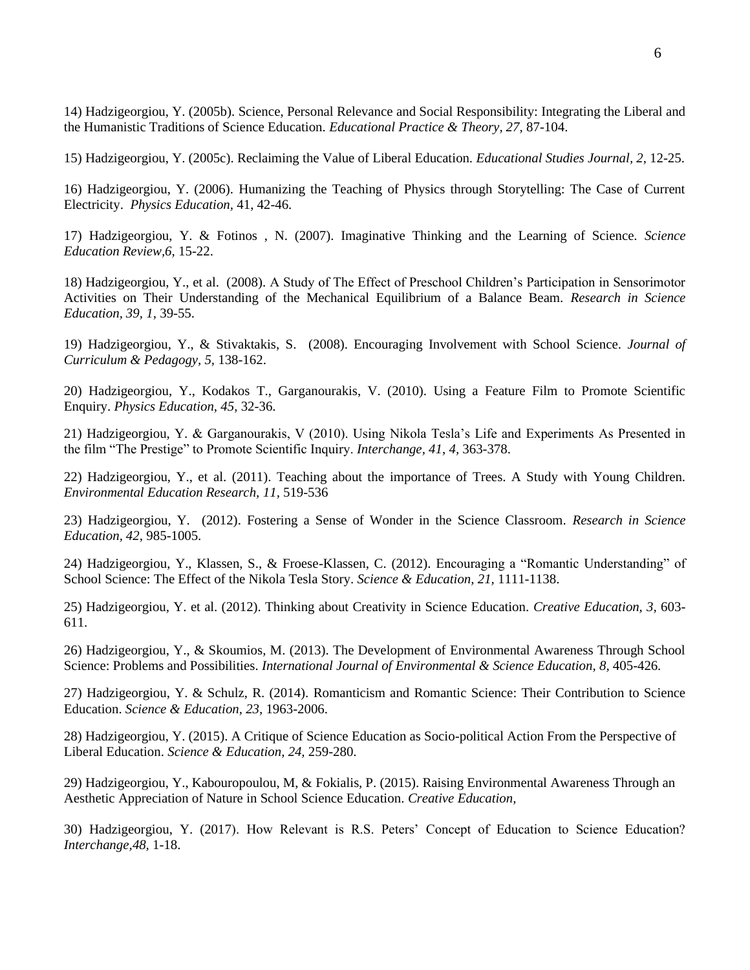14) Hadzigeorgiou, Y. (2005b). Science, Personal Relevance and Social Responsibility: Integrating the Liberal and the Humanistic Traditions of Science Education. *Educational Practice & Theory, 27,* 87-104.

15) Hadzigeorgiou, Y. (2005c). Reclaiming the Value of Liberal Education. *Educational Studies Journal, 2,* 12-25.

16) Hadzigeorgiou, Y. (2006). Humanizing the Teaching of Physics through Storytelling: The Case of Current Electricity. *Physics Education,* 41, 42-46.

17) Hadzigeorgiou, Y. & Fotinos , N. (2007). Imaginative Thinking and the Learning of Science. *Science Education Review,6,* 15-22.

18) Hadzigeorgiou, Y., et al. (2008). A Study of The Effect of Preschool Children's Participation in Sensorimotor Activities on Their Understanding of the Mechanical Equilibrium of a Balance Beam. *Research in Science Education, 39, 1,* 39-55.

19) Hadzigeorgiou, Y., & Stivaktakis, S. (2008). Encouraging Involvement with School Science. *Journal of Curriculum & Pedagogy, 5,* 138-162.

20) Hadzigeorgiou, Y., Kodakos T., Garganourakis, V. (2010). Using a Feature Film to Promote Scientific Enquiry. *Physics Education, 45,* 32-36.

21) Hadzigeorgiou, Y. & Garganourakis, V (2010). Using Nikola Tesla's Life and Experiments As Presented in the film "The Prestige" to Promote Scientific Inquiry. *Interchange, 41*, *4,* 363-378.

22) Hadzigeorgiou, Y., et al. (2011). Teaching about the importance of Trees. A Study with Young Children. *Environmental Education Research, 11,* 519-536

23) Hadzigeorgiou, Y. (2012). Fostering a Sense of Wonder in the Science Classroom. *Research in Science Education, 42,* 985-1005.

24) Hadzigeorgiou, Y., Klassen, S., & Froese-Klassen, C. (2012). Encouraging a "Romantic Understanding" of School Science: The Effect of the Nikola Tesla Story. *Science & Education, 21,* 1111-1138.

25) Hadzigeorgiou, Y. et al. (2012). Thinking about Creativity in Science Education. *Creative Education, 3,* 603- 611.

26) Hadzigeorgiou, Y., & Skoumios, M. (2013). The Development of Environmental Awareness Through School Science: Problems and Possibilities. *International Journal of Environmental & Science Education, 8,* 405-426.

27) Hadzigeorgiou, Y. & Schulz, R. (2014). Romanticism and Romantic Science: Their Contribution to Science Education. *Science & Education, 23,* 1963-2006.

28) Hadzigeorgiou, Y. (2015). A Critique of Science Education as Socio-political Action From the Perspective of Liberal Education. *Science & Education, 24,* 259-280.

29) Hadzigeorgiou, Y., Kabouropoulou, M, & Fokialis, P. (2015). Raising Environmental Awareness Through an Aesthetic Appreciation of Nature in School Science Education. *Creative Education,* 

30) Hadzigeorgiou, Y. (2017). How Relevant is R.S. Peters' Concept of Education to Science Education? *Interchange,48,* 1-18.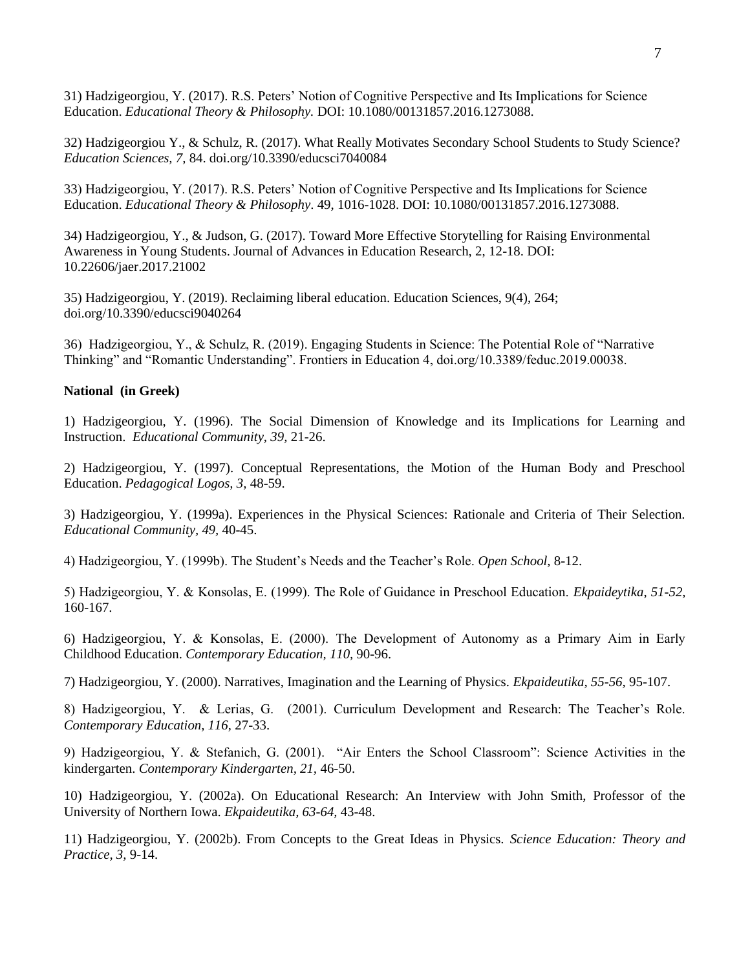31) Hadzigeorgiou, Y. (2017). R.S. Peters' Notion of Cognitive Perspective and Its Implications for Science Education. *Educational Theory & Philosophy.* DOI: 10.1080/00131857.2016.1273088.

32) Hadzigeorgiou Y., & Schulz, R. (2017). What Really Motivates Secondary School Students to Study Science? *Education Sciences, 7,* 84. doi.org/10.3390/educsci7040084

33) Hadzigeorgiou, Y. (2017). R.S. Peters' Notion of Cognitive Perspective and Its Implications for Science Education. *Educational Theory & Philosophy*. 49, 1016-1028. DOI: 10.1080/00131857.2016.1273088.

34) Hadzigeorgiou, Y., & Judson, G. (2017). Toward More Effective Storytelling for Raising Environmental Awareness in Young Students. Journal of Advances in Education Research, 2, 12-18. DOI: 10.22606/jaer.2017.21002

35) Hadzigeorgiou, Y. (2019). Reclaiming liberal education. Education Sciences, 9(4), 264; doi.org/10.3390/educsci9040264

36) Hadzigeorgiou, Y., & Schulz, R. (2019). Engaging Students in Science: The Potential Role of "Narrative Thinking" and "Romantic Understanding". Frontiers in Education 4, doi.org/10.3389/feduc.2019.00038.

### **National (in Greek)**

1) Hadzigeorgiou, Y. (1996). The Social Dimension of Knowledge and its Implications for Learning and Instruction. *Educational Community, 39,* 21-26.

2) Hadzigeorgiou, Y. (1997). Conceptual Representations, the Motion of the Human Body and Preschool Education. *Pedagogical Logos, 3,* 48-59.

3) Hadzigeorgiou, Y. (1999a). Experiences in the Physical Sciences: Rationale and Criteria of Their Selection. *Educational Community, 49,* 40-45.

4) Hadzigeorgiou, Y. (1999b). The Student's Needs and the Teacher's Role. *Open School,* 8-12.

5) Hadzigeorgiou, Y. & Κonsolas, E. (1999). The Role of Guidance in Preschool Education. *Ekpaideytika*, *51-52,* 160-167.

6) Hadzigeorgiou, Y. & Κonsolas, Ε. (2000). The Development of Autonomy as a Primary Aim in Early Childhood Education. *Contemporary Education, 110,* 90-96.

7) Hadzigeorgiou, Y. (2000). Narratives, Imagination and the Learning of Physics. *Ekpaideutika, 55-56,* 95-107.

8) Hadzigeorgiou, Y. & Lerias, G. (2001). Curriculum Development and Research: The Teacher's Role. *Contemporary Education, 116,* 27-33.

9) Hadzigeorgiou, Y. & Stefanich, G. (2001). "Air Enters the School Classroom": Science Activities in the kindergarten. *Contemporary Kindergarten, 21,* 46-50.

10) Hadzigeorgiou, Y. (2002a). On Educational Research: An Interview with John Smith, Professor of the University of Northern Iowa. *Ekpaideutika, 63-64,* 43-48.

11) Hadzigeorgiou, Y. (2002b). From Concepts to the Great Ideas in Physics. *Science Education: Theory and Practice, 3,* 9-14.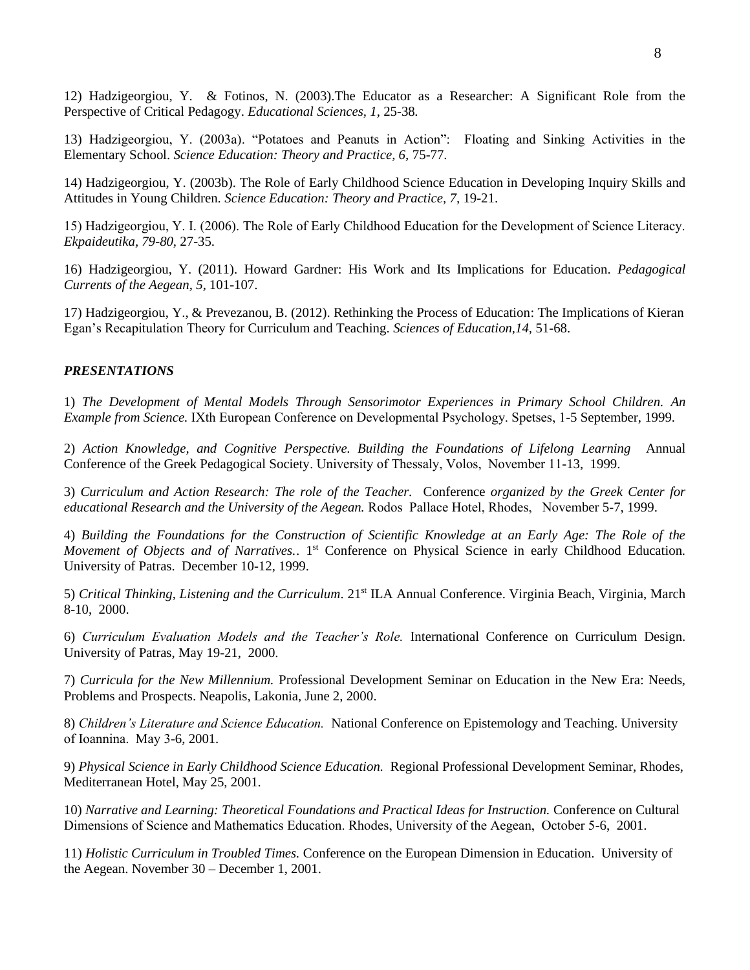12) Hadzigeorgiou, Y. & Fotinos, N. (2003).The Educator as a Researcher: A Significant Role from the Perspective of Critical Pedagogy. *Educational Sciences, 1,* 25-38*.*

13) Hadzigeorgiou, Y. (2003a). "Potatoes and Peanuts in Action": Floating and Sinking Activities in the Elementary School. *Science Education: Theory and Practice, 6,* 75-77.

14) Hadzigeorgiou, Y. (2003b). The Role of Early Childhood Science Education in Developing Inquiry Skills and Attitudes in Young Children. *Science Education: Theory and Practice, 7,* 19-21.

15) Hadzigeorgiou, Y. Ι. (2006). The Role of Early Childhood Education for the Development of Science Literacy. *Ekpaideutika, 79-80,* 27-35.

16) Hadzigeorgiou, Υ. (2011). Howard Gardner: His Work and Its Implications for Education. *Pedagogical Currents of the Aegean, 5,* 101-107.

17) Hadzigeorgiou, Y., & Prevezanou, B. (2012). Rethinking the Process of Education: The Implications of Kieran Egan's Recapitulation Theory for Curriculum and Teaching. *Sciences of Education,14,* 51-68.

#### *PRESENTATIONS*

1) *The Development of Mental Models Through Sensorimotor Experiences in Primary School Children. An Example from Science.* ΙΧth European Conference on Developmental Psychology. Spetses, 1-5 September, 1999.

2) *Action Knowledge, and Cognitive Perspective. Building the Foundations of Lifelong Learning* Annual Conference of the Greek Pedagogical Society. University of Thessaly, Volos, Νοvember 11-13, 1999.

3) *Curriculum and Action Research: The role of the Teacher.* Conference *organized by the Greek Center for educational Research and the University of the Aegean.* Rodos Pallace Hotel, Rhodes, Νοvember 5-7, 1999.

4) *Building the Foundations for the Construction of Scientific Knowledge at an Early Age: The Role of the Movement of Objects and of Narratives..* 1<sup>st</sup> Conference on Physical Science in early Childhood Education. University of Patras. December 10-12, 1999.

5) *Critical Thinking, Listening and the Curriculum*. 21st ILA Annual Conference. Virginia Beach, Virginia, March 8-10, 2000.

6) *Curriculum Evaluation Models and the Teacher's Role.* International Conference on Curriculum Design. University of Patras, May 19-21, 2000.

7) *Curricula for the New Millennium.* Professional Development Seminar on Education in the New Era: Needs, Problems and Prospects. Neapolis, Lakonia, June 2, 2000.

8) *Children's Literature and Science Education.* National Conference on Epistemology and Teaching. University of Ioannina. Μay 3-6, 2001.

9) *Physical Science in Early Childhood Science Education.* Regional Professional Development Seminar, Rhodes, Mediterranean Hotel, May 25, 2001.

10) *Narrative and Learning: Theoretical Foundations and Practical Ideas for Instruction.* Conference on Cultural Dimensions of Science and Mathematics Education. Rhodes, University of the Aegean, Οctober 5-6, 2001.

11) *Holistic Curriculum in Troubled Times.* Conference on the European Dimension in Education. University of the Aegean. November 30 – December 1, 2001.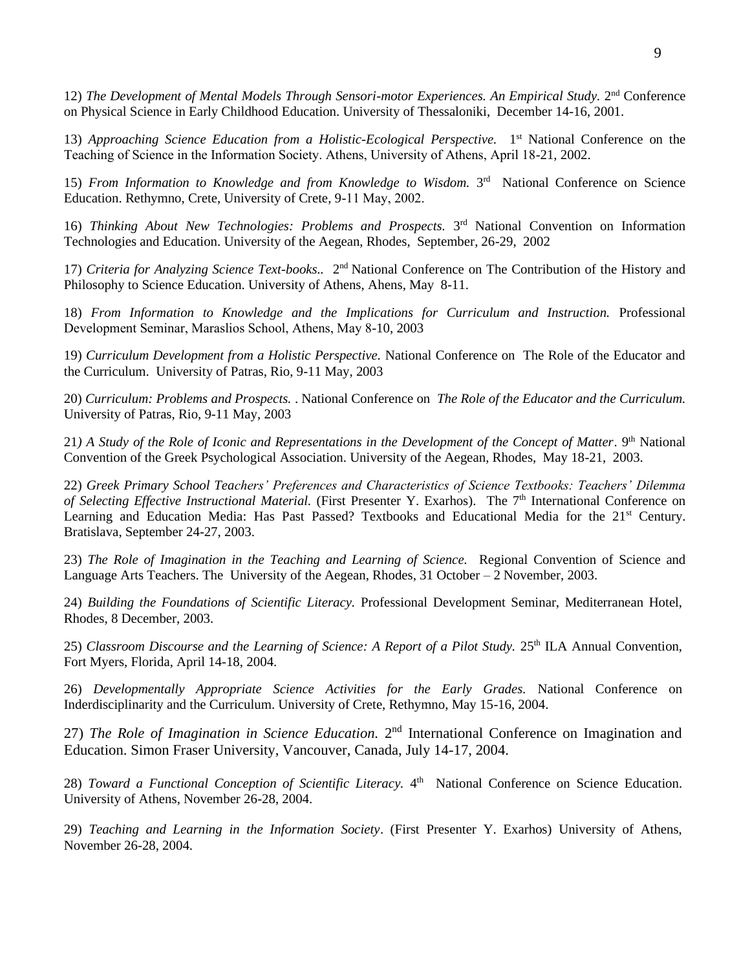12) The Development of Mental Models Through Sensori-motor Experiences. An Empirical Study. 2<sup>nd</sup> Conference on Physical Science in Early Childhood Education. University of Thessaloniki, December 14-16, 2001.

13) Approaching Science Education from a Holistic-Ecological Perspective. 1<sup>st</sup> National Conference on the Teaching of Science in the Information Society. Athens, University of Athens, Αpril 18-21, 2002.

15) From Information to Knowledge and from Knowledge to Wisdom. 3<sup>rd</sup> National Conference on Science Education. Rethymno, Crete, University of Crete, 9-11 Μay, 2002.

16) *Thinking About New Technologies: Problems and Prospects*. 3<sup>rd</sup> National Convention on Information Technologies and Education. University of the Aegean, Rhodes, September, 26-29, 2002

17) *Criteria for Analyzing Science Text-books..* 2<sup>nd</sup> National Conference on The Contribution of the History and Philosophy to Science Education. University of Athens, Ahens, May 8-11.

18) *From Information to Knowledge and the Implications for Curriculum and Instruction.* Professional Development Seminar, Maraslios School, Athens, Μay 8-10, 2003

19) *Curriculum Development from a Holistic Perspective.* National Conference on The Role of the Educator and the Curriculum. University of Patras, Rio, 9-11 May, 2003

20) *Curriculum: Problems and Prospects.* . National Conference on *The Role of the Educator and the Curriculum.* University of Patras, Rio, 9-11 May, 2003

21*) A Study of the Role of Iconic and Representations in the Development of the Concept of Matter*. 9th National Convention of the Greek Psychological Association. University of the Aegean, Rhodes, May 18-21, 2003.

22) *Greek Primary School Teachers' Preferences and Characteristics of Science Textbooks: Teachers' Dilemma of Selecting Effective Instructional Material.* (First Presenter Y. Exarhos). The 7<sup>th</sup> International Conference on Learning and Education Media: Has Past Passed? Textbooks and Educational Media for the 21<sup>st</sup> Century. Bratislava, September 24-27, 2003.

23) *The Role of Imagination in the Teaching and Learning of Science.* Regional Convention of Science and Language Arts Teachers. The University of the Aegean, Rhodes, 31 October – 2 November, 2003.

24) *Building the Foundations of Scientific Literacy.* Professional Development Seminar, Mediterranean Hotel, Rhodes, 8 December, 2003.

25) *Classroom Discourse and the Learning of Science: A Report of a Pilot Study.* 25th ILA Annual Convention, Fort Myers, Florida, April 14-18, 2004.

26) *Developmentally Appropriate Science Activities for the Early Grades.* National Conference on Inderdisciplinarity and the Curriculum. University of Crete, Rethymno, May 15-16, 2004.

27) *The Role of Imagination in Science Education*. 2<sup>nd</sup> International Conference on Imagination and Education. Simon Fraser University, Vancouver, Canada, July 14-17, 2004.

28) *Toward a Functional Conception of Scientific Literacy*. 4<sup>th</sup> National Conference on Science Education. University of Athens, November 26-28, 2004.

29) *Teaching and Learning in the Information Society*. (First Presenter Y. Exarhos) University of Athens, November 26-28, 2004.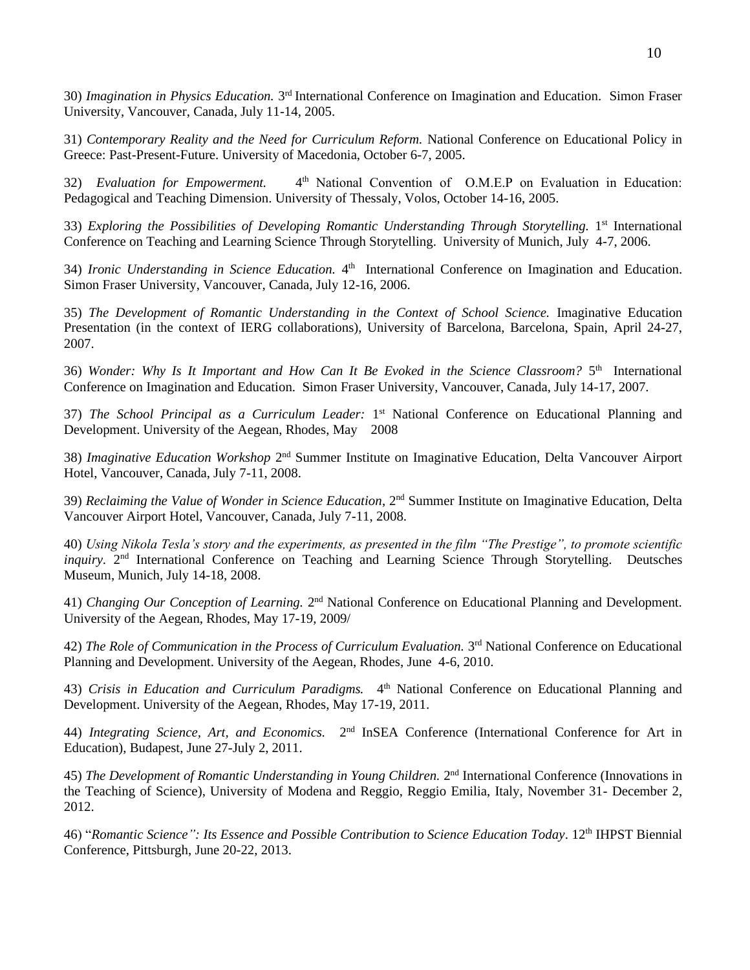30) *Imagination in Physics Education*. 3<sup>rd</sup> International Conference on Imagination and Education. Simon Fraser University, Vancouver, Canada, July 11-14, 2005.

31) *Contemporary Reality and the Need for Curriculum Reform.* National Conference on Educational Policy in Greece: Past-Present-Future. University of Macedonia, October 6-7, 2005.

32) *Evaluation for Empowerment.* 4 th National Convention of Ο.Μ.Ε.P on Evaluation in Education: Pedagogical and Teaching Dimension. University of Thessaly, Volos, October 14-16, 2005.

33) Exploring the Possibilities of Developing Romantic Understanding Through Storytelling. 1<sup>st</sup> International Conference on Teaching and Learning Science Through Storytelling. University of Munich, July 4-7, 2006.

34) Ironic Understanding in Science Education. 4<sup>th</sup> International Conference on Imagination and Education. Simon Fraser University, Vancouver, Canada, July 12-16, 2006.

35) *The Development of Romantic Understanding in the Context of School Science.* Imaginative Education Presentation (in the context of IERG collaborations), University of Barcelona, Barcelona, Spain, April 24-27, 2007.

36) Wonder: Why Is It Important and How Can It Be Evoked in the Science Classroom? 5<sup>th</sup> International Conference on Imagination and Education. Simon Fraser University, Vancouver, Canada, July 14-17, 2007.

37) *The School Principal as a Curriculum Leader*: 1<sup>st</sup> National Conference on Educational Planning and Development. University of the Aegean, Rhodes, May 2008

38) Imaginative Education Workshop 2<sup>nd</sup> Summer Institute on Imaginative Education, Delta Vancouver Airport Hotel, Vancouver, Canada, July 7-11, 2008.

39) *Reclaiming the Value of Wonder in Science Education*, 2nd Summer Institute on Imaginative Education, Delta Vancouver Airport Hotel, Vancouver, Canada, July 7-11, 2008.

40) *Using Nikola Tesla's story and the experiments, as presented in the film "The Prestige", to promote scientific*  inquiry. 2<sup>nd</sup> International Conference on Teaching and Learning Science Through Storytelling. Deutsches Museum, Munich, July 14-18, 2008.

41) *Changing Our Conception of Learning*. 2<sup>nd</sup> National Conference on Educational Planning and Development. University of the Aegean, Rhodes, May 17-19, 2009/

42) The Role of Communication in the Process of Curriculum Evaluation. 3<sup>rd</sup> National Conference on Educational Planning and Development. University of the Aegean, Rhodes, June 4-6, 2010.

43) *Crisis in Education and Curriculum Paradigms*. 4<sup>th</sup> National Conference on Educational Planning and Development. University of the Aegean, Rhodes, May 17-19, 2011.

44) *Integrating Science, Art, and Economics*. 2<sup>nd</sup> InSEA Conference (International Conference for Art in Education), Budapest, June 27-July 2, 2011.

45) The Development of Romantic Understanding in Young Children. 2<sup>nd</sup> International Conference (Innovations in the Teaching of Science), University of Modena and Reggio, Reggio Emilia, Italy, November 31- December 2, 2012.

46) "Romantic Science": Its Essence and Possible Contribution to Science Education Today. 12<sup>th</sup> IHPST Biennial Conference, Pittsburgh, June 20-22, 2013.